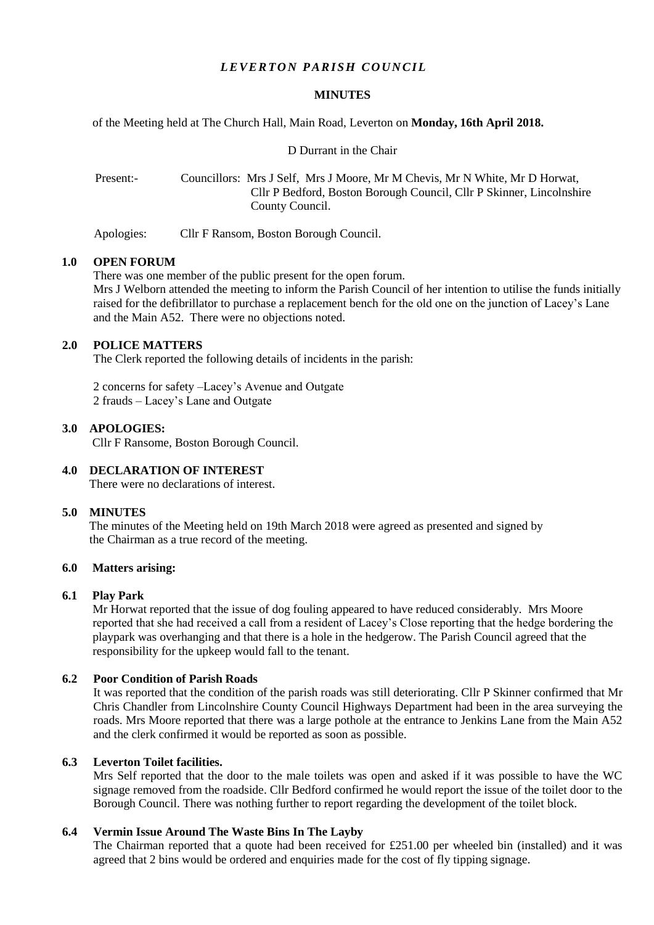# *LEVERTON PARISH COUNCIL*

#### **MINUTES**

of the Meeting held at The Church Hall, Main Road, Leverton on **Monday, 16th April 2018.**

D Durrant in the Chair

Present:- Councillors: Mrs J Self, Mrs J Moore, Mr M Chevis, Mr N White, Mr D Horwat, Cllr P Bedford, Boston Borough Council, Cllr P Skinner, Lincolnshire County Council.

Apologies: Cllr F Ransom, Boston Borough Council.

#### **1.0 OPEN FORUM**

There was one member of the public present for the open forum.

Mrs J Welborn attended the meeting to inform the Parish Council of her intention to utilise the funds initially raised for the defibrillator to purchase a replacement bench for the old one on the junction of Lacey's Lane and the Main A52. There were no objections noted.

## **2.0 POLICE MATTERS**

The Clerk reported the following details of incidents in the parish:

2 concerns for safety –Lacey's Avenue and Outgate 2 frauds – Lacey's Lane and Outgate

## **3.0 APOLOGIES:**

Cllr F Ransome, Boston Borough Council.

# **4.0 DECLARATION OF INTEREST**

There were no declarations of interest.

### **5.0 MINUTES**

 The minutes of the Meeting held on 19th March 2018 were agreed as presented and signed by the Chairman as a true record of the meeting.

## **6.0 Matters arising:**

# **6.1 Play Park**

Mr Horwat reported that the issue of dog fouling appeared to have reduced considerably. Mrs Moore reported that she had received a call from a resident of Lacey's Close reporting that the hedge bordering the playpark was overhanging and that there is a hole in the hedgerow. The Parish Council agreed that the responsibility for the upkeep would fall to the tenant.

# **6.2 Poor Condition of Parish Roads**

It was reported that the condition of the parish roads was still deteriorating. Cllr P Skinner confirmed that Mr Chris Chandler from Lincolnshire County Council Highways Department had been in the area surveying the roads. Mrs Moore reported that there was a large pothole at the entrance to Jenkins Lane from the Main A52 and the clerk confirmed it would be reported as soon as possible.

## **6.3 Leverton Toilet facilities.**

Mrs Self reported that the door to the male toilets was open and asked if it was possible to have the WC signage removed from the roadside. Cllr Bedford confirmed he would report the issue of the toilet door to the Borough Council. There was nothing further to report regarding the development of the toilet block.

### **6.4 Vermin Issue Around The Waste Bins In The Layby**

The Chairman reported that a quote had been received for £251.00 per wheeled bin (installed) and it was agreed that 2 bins would be ordered and enquiries made for the cost of fly tipping signage.